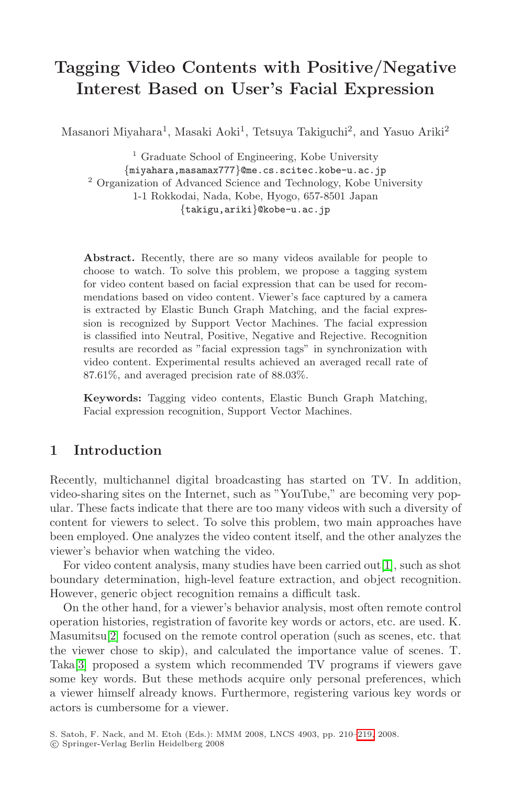# **Tagging Video Contents with Positive/Negative Interest Based on User's Facial Expression**

Masanori Miyahara<sup>1</sup>, Masaki Aoki<sup>1</sup>, Tetsuya Takiguchi<sup>2</sup>, and Yasuo Ariki<sup>2</sup>

<sup>1</sup> Graduate School of Engineering, Kobe University {miyahara,masamax777}@me.cs.scitec.kobe-u.ac.jp <sup>2</sup> Organization of Advanced Science and Technology, Kobe University 1-1 Rokkodai, Nada, Kobe, Hyogo, 657-8501 Japan {takigu,ariki}@kobe-u.ac.jp

**Abstract.** Recently, there are so many videos available for people to choose to watch. To solve this problem, we propose a tagging system for video content based on facial expression that can be used for recommendations based on video content. Viewer's face captured by a camera is extracted by Elastic Bunch Graph Matching, and the facial expression is recognized by Support Vector Machines. The facial expression is classified into Neutral, Positive, Negative and Rejective. Recognition results are recorded as "facial expression tags" in synchronization with video content. Experimental results achieved an averaged recall rate of 87.61%, and averaged precision rate of 88.03%.

**Keywords:** Tagging video contents, Elastic Bunch Graph Matching, Facial expression recognition, Support Vector Machines.

# **1 Introduction**

Recently, multichannel digital broadcasting has started on TV. In addition, video-sharing sites on the Internet, such as "YouTube," are becoming very popular. These facts indicate that there are too many videos with such a diversity of content for viewers to select. To solve this problem, two main approaches have been employed. One analyzes the video content itself, and the other analyzes the viewer's behavior when watching the video.

For video content analysis, many studies have been carried out[1], such as shot boundary determination, high-level feature extraction, and object recognition. However, generic object recognition remains a difficult task.

On the other hand, for a viewer's behavior analysis, most often remote control operation histories, registration of favori[te k](#page-9-0)ey words or actors, etc. are used. K. Masumitsu[2] focused on the remote control operation (such as scenes, etc. that the viewer chose to skip), and calculated the importance value of scenes. T. Taka[3] proposed a system which recommended TV programs if viewers gave some key words. But these methods acquire only personal preferences, which a viewer himself already knows. Furthermore, registering various key words or actors is cumbersome for a viewer.

S. Satoh, F. Nack, and M. Etoh (Eds.): MMM 2008, LNCS 4903, pp. 210-219, 2008.

<sup>-</sup>c Springer-Verlag Berlin Heidelberg 200 8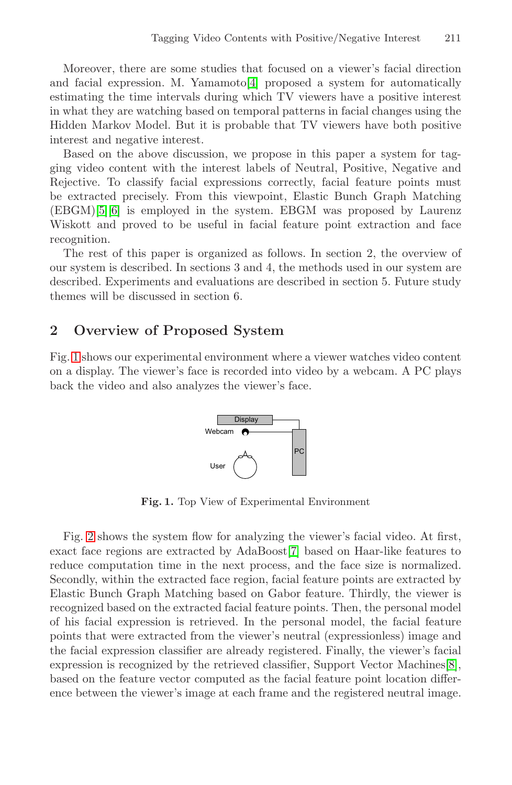Moreover, there are some studies that focused on a viewer's facial direction and facial expression. M. Yamamoto[4] proposed a system for automatically estimating the time intervals during which TV viewers have a positive interest in what they are watching based on temporal patterns in facial changes using the Hidden Markov Model. But it is probable that TV viewers have both positive interest and negative interest.

Based on the above discussion, we propose in this paper a system for tagging video content with the interest labels of Neutral, Positive, Negative and Rejective. To classify facial expressions correctly, facial feature points must be extracted precisely. From this viewpoint, Elastic Bunch Graph Matching (EBGM)[5][6] is employed in the system. EBGM was proposed by Laurenz Wiskott and proved to be useful in facial feature point extraction and face recognition.

The rest of this paper is organized as follows. In section 2, the overview of our system is described. In sections 3 and 4, the methods used in our system are described. Experiments and evaluations are described in section 5. Future study themes will be discussed in section 6.

### **2 Overview of Proposed System**

<span id="page-1-0"></span>Fig. 1 shows our experimental environment where a viewer watches video content on a display. The viewer's face is recorded into video by a webcam. A PC plays back the video and also analyzes the viewer's face.



**Fig. 1.** Top View of Experimental Environment

Fig. 2 shows the system flow for analyzing the viewer's facial video. At first, exact face regions are extracted by AdaBoost[7] based o[n H](#page-9-1)aar-like features to reduce computation time in the next process, and the face size is normalized. Secondly, within the extracted face region, facial feature points are extracted by Elastic Bunch Graph Matching based on Gabor feature. Thirdly, the viewer is recognized based on the extracted facial feature points. Then, the personal model of his facial expression is retrieved. In the personal model, the facial feature points that were extracted from the viewer's neutral (expressionless) image and the facial expression classifier are already registered. Finally, the viewer's facial expression is recognized by the retrieved classifier, Support Vector Machines[8], based on the feature vector computed as the facial feature point location difference between the viewer's image at each frame and the registered neutral image.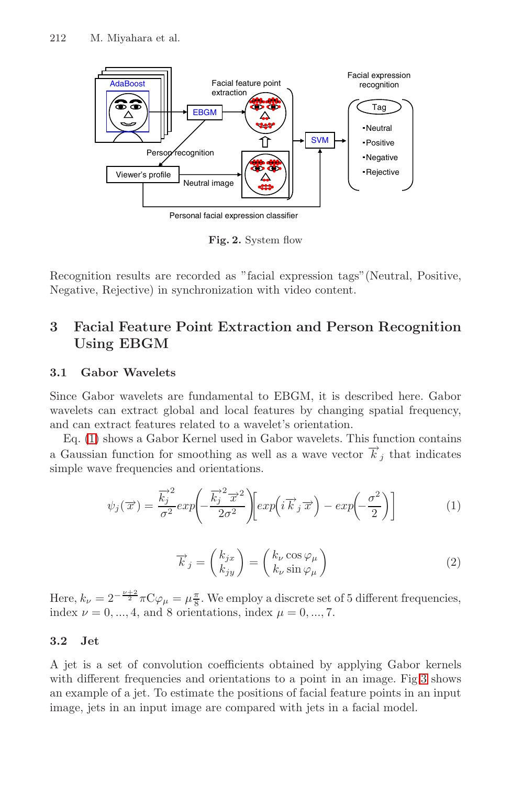<span id="page-2-0"></span>

**Fig. 2.** System flow

Recognition results are recorded as "facial expression tags"(Neutral, Positive, Negative, Rejective) in synchronization with video content.

# **3 Facial Feature Point Extraction and Person Recognition Using EBGM**

### **3.1 Gabor Wavelets**

Since Gabor wavelets are fundamental to EBGM, it is described here. Gabor wavelets can extract global and local features by changing spatial frequency, and can extract features related to a wavelet's orientation.

Eq. (1) shows a Gabor Kernel used in Gabor wavelets. This function contains a Gaussian function for smoothing as well as a wave vector  $\overrightarrow{k}_j$  that indicates simple wave frequencies and orientations.

$$
\psi_j(\overrightarrow{x}) = \frac{\overrightarrow{k}_j^2}{\sigma^2} exp\left(-\frac{\overrightarrow{k}_j^2 \overrightarrow{x}^2}{2\sigma^2}\right) \left[ exp\left(i\overrightarrow{k}_j \overrightarrow{x}\right) - exp\left(-\frac{\sigma^2}{2}\right)\right]
$$
(1)

$$
\overrightarrow{k}_{j} = \begin{pmatrix} k_{jx} \\ k_{jy} \end{pmatrix} = \begin{pmatrix} k_{\nu} \cos \varphi_{\mu} \\ k_{\nu} \sin \varphi_{\mu} \end{pmatrix}
$$
\n(2)

Here,  $k_{\nu} = 2^{-\frac{\nu+2}{2}} \pi C \varphi_{\mu} = \mu \frac{\pi}{8}$ . We employ a discrete set of 5 different frequencies, index  $\nu = 0, ..., 4$ , and 8 orientations, index  $\mu = 0, ..., 7$ .

### **3.2 Jet**

A jet is a set of convolution coefficients obtained by applying Gabor kernels with different frequencies and orientations to a point in an image. Fig.3 shows an example of a jet. To estimate the positions of facial feature points in an input image, jets in an input image are compared with jets in a facial model.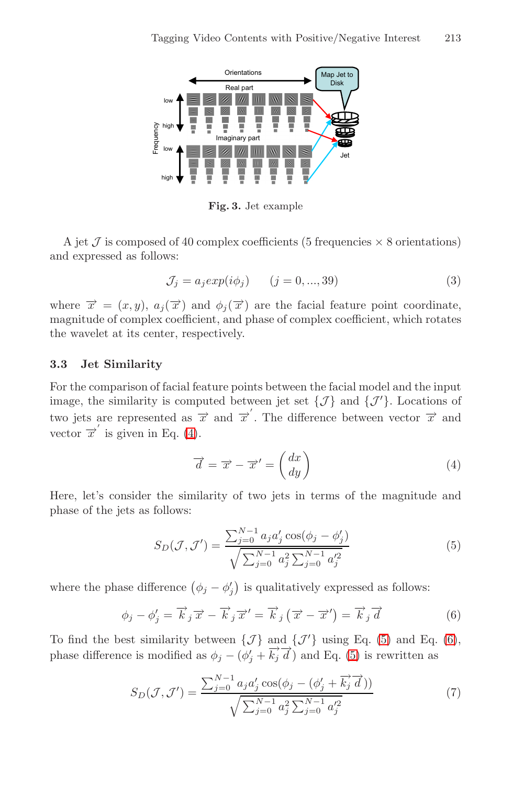

**Fig. 3.** Jet example

A jet  $\mathcal J$  is composed of 40 complex coefficients (5 frequencies  $\times$  8 orientations) and expressed as follows:

$$
\mathcal{J}_j = a_j \exp(i\phi_j) \qquad (j = 0, ..., 39)
$$
\n
$$
\tag{3}
$$

where  $\vec{x} = (x, y), a_i(\vec{x})$  and  $\phi_i(\vec{x})$  are the facial feature point coordinate, magnit[ud](#page-3-0)e of complex coefficient, and phase of complex coefficient, which rotates the wavelet at its center, respectively.

# <span id="page-3-0"></span>**3.3 Jet Similarity**

<span id="page-3-1"></span>For the comparison of facial feature points between the facial model and the input image, the similarity is computed between jet set  $\{\mathcal{J}\}\$ and  $\{\mathcal{J}'\}\$ . Locations of two jets are represented as  $\overrightarrow{x}$  and  $\overrightarrow{x}'$ . The difference between vector  $\overrightarrow{x}$  and vector  $\overline{x}'$  is given in Eq. (4).

$$
\overrightarrow{d} = \overrightarrow{x} - \overrightarrow{x}' = \begin{pmatrix} dx \\ dy \end{pmatrix}
$$
\n(4)

<span id="page-3-2"></span>Here, let's consider the similarity of two jets in terms of the magnitude and phase of the jets as follows:

$$
S_D(\mathcal{J}, \mathcal{J}') = \frac{\sum_{j=0}^{N-1} a_j a'_j \cos(\phi_j - \phi'_j)}{\sqrt{\sum_{j=0}^{N-1} a_j^2 \sum_{j=0}^{N-1} a'_j^2}}
$$
(5)

where the phase difference  $(\phi_j - \phi'_j)$  is qualitatively expressed as follows:

$$
\phi_j - \phi'_j = \overrightarrow{k}_j \overrightarrow{x} - \overrightarrow{k}_j \overrightarrow{x}' = \overrightarrow{k}_j (\overrightarrow{x} - \overrightarrow{x}') = \overrightarrow{k}_j \overrightarrow{d}
$$
(6)

To find the best similarity between  $\{\mathcal{J}\}\$ and  $\{\mathcal{J}'\}\$ using Eq. (5) and Eq. (6), phase difference is modified as  $\phi_j - (\phi'_j + \overrightarrow{k_j} \overrightarrow{d})$  and Eq. (5) is rewritten as

$$
S_D(\mathcal{J}, \mathcal{J}') = \frac{\sum_{j=0}^{N-1} a_j a_j' \cos(\phi_j - (\phi_j' + \overrightarrow{k_j} \overrightarrow{d}))}{\sqrt{\sum_{j=0}^{N-1} a_j^2 \sum_{j=0}^{N-1} a_j'^2}}
$$
(7)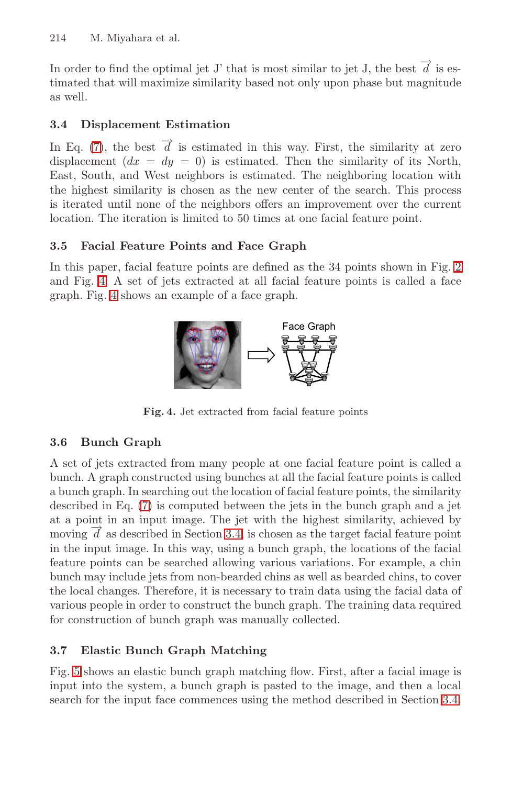<span id="page-4-0"></span>In order to find the optimal jet J' that is most similar to jet J, the best  $\overrightarrow{d}$  is estimated that will maximize similarity based not only upon phase but magnitude as well.

# **3.4 Displacement Estimation**

In Eq. (7), the best  $\overrightarrow{d}$  is estimated in this way. First, the similarity at zero displacement  $(dx = dy = 0)$  is estimated. Then the si[mila](#page-2-0)rity of its North, East, South, and West neighbors is estimated. The neighboring location with the highest similarity is chosen as the new center of the search. This process is iterated until none of the neighbors offers an improvement over the current location. The iteration is limited to 50 times at one facial feature point.

### **3.5 Facial Feature Points and Face Graph**

In this paper, facial feature points are defined as the 34 points shown in Fig. 2 and Fig. 4. A set of jets extracted at all facial feature points is called a face graph. Fig. 4 shows an example of a face graph.



**Fig. 4.** Jet extracted from facial feature points

# **3.6 Bunch Graph**

A set of jets extracted from many people at one facial feature point is called a bunch. A graph constructed using bunches at all the facial feature points is called a bunch graph. In searching out the location of facial feature points, the similarity described in Eq. (7) is computed between the jets in the bunch graph and a jet at a point in an input image. The jet with the highest similarity, achieved by moving  $\overline{d}$  as described in Section 3.4, is chosen as the target facial feature point in the input image. In this way, using a bunch graph, the locations of the facial feature points can be searched allowing various variations. For example, a chin bunch may include jets from non-bearded chins as well as bearded chins, to cover the local changes. Therefore, it is necessary to train data [usin](#page-4-0)g the facial data of various people in order to construct the bunch graph. The training data required for construction of bunch graph was manually collected.

### **3.7 Elastic Bunch Graph Matching**

Fig. 5 shows an elastic bunch graph matching flow. First, after a facial image is input into the system, a bunch graph is pasted to the image, and then a local search for the input face commences using the method described in Section 3.4.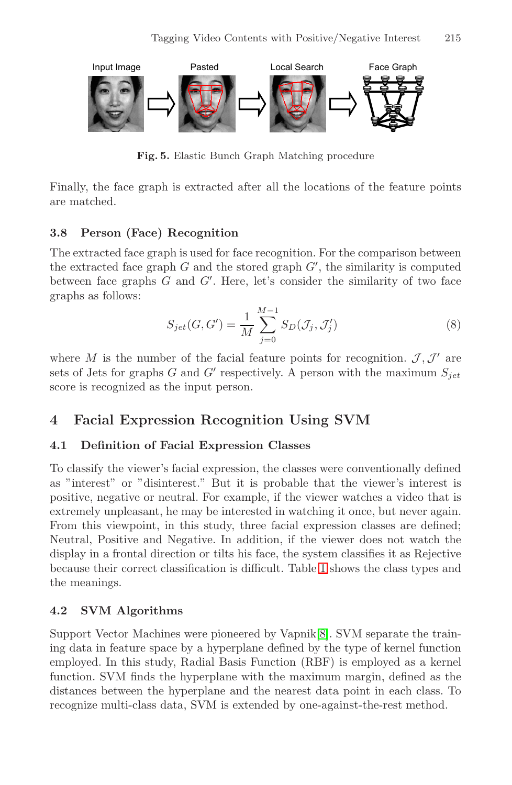

**Fig. 5.** Elastic Bunch Graph Matching procedure

Finally, the face graph is extracted after all the locations of the feature points are matched.

#### **3.8 Person (Face) Recognition**

The extracted face graph is used for face recognition. For the comparison between the extracted face graph  $G$  and the stored graph  $G'$ , the similarity is computed between face graphs  $G$  and  $G'$ . Here, let's consider the similarity of two face graphs as follows:

$$
S_{jet}(G, G') = \frac{1}{M} \sum_{j=0}^{M-1} S_D(\mathcal{J}_j, \mathcal{J}'_j)
$$
 (8)

where M is the number of the facial feature points for recognition.  $J, J'$  are sets of Jets for graphs G and G' respectively. A person with the maximum  $S_{jet}$ score is recognized as the input person.

# **4 Facial Expression Recognition Using SVM**

# **4.1 Definition of Facial Expression Classes**

To classify the viewer's facial ex[pre](#page-6-0)ssion, the classes were conventionally defined as "interest" or "disinterest." But it is probable that the viewer's interest is positive, negative or neutral. For example, if the viewer watches a video that is extremely unpleasant, he may be interested in watching it once, but never again. From this viewpoint, in this stu[dy](#page-9-1), three facial expression classes are defined; Neutral, Positive and Negative. In addition, if the viewer does not watch the display in a frontal direction or tilts his face, the system classifies it as Rejective because their correct classification is difficult. Table 1 shows the class types and the meanings.

### **4.2 SVM Algorithms**

Support Vector Machines were pioneered by Vapnik[8]. SVM separate the training data in feature space by a hyperplane defined by the type of kernel function employed. In this study, Radial Basis Function (RBF) is employed as a kernel function. SVM finds the hyperplane with the maximum margin, defined as the distances between the hyperplane and the nearest data point in each class. To recognize multi-class data, SVM is extended by one-against-the-rest method.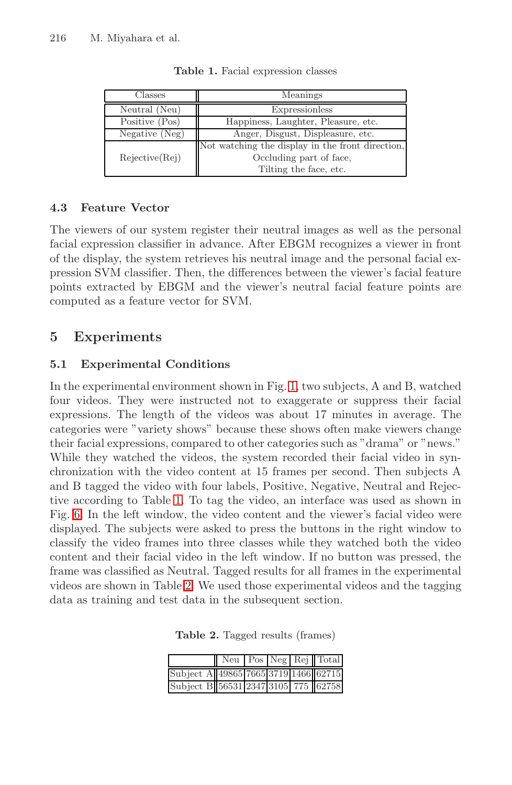<span id="page-6-0"></span>

| Classes        | Meanings                                         |
|----------------|--------------------------------------------------|
| Neutral (Neu)  | Expressionless                                   |
| Positive (Pos) | Happiness, Laughter, Pleasure, etc.              |
| Negative (Neg) | Anger, Disgust, Displeasure, etc.                |
|                | Not watching the display in the front direction, |
| Rejective(Rej) | Occluding part of face,                          |
|                | Tilting the face, etc.                           |

**Table 1.** Facial expression classes

#### **4.3 Feature Vector**

The viewers of our system register their neutral images as well as the personal facial expression classifier in advance. After EBGM recognizes a viewer in front of the display, the system retrieves his neutral image and the personal facial expression SVM classifier. Th[en](#page-1-0), the differences between the viewer's facial feature points extracted by EBGM and the viewer's neutral facial feature points are computed as a feature vector for SVM.

# **5 Experiments**

# **5.1 Experimental Conditions**

<span id="page-6-1"></span>In th[e e](#page-6-0)xperimental environment shown in Fig. 1, two subjects, A and B, watched four videos. They were instructed not to exaggerate or suppress their facial expressions. The length of the videos was about 17 minutes in average. The categories were "variety shows" because these shows often make viewers change their facial expressions, compared to other categories such as "drama" or "news." While they watched the videos, the system recorded their facial video in synchroni[zat](#page-6-1)ion with the video content at 15 frames per second. Then subjects A and B tagged the video with four labels, Positive, Negative, Neutral and Rejective according to Table 1. To tag the video, an interface was used as shown in Fig. 6. In the left window, the video content and the viewer's facial video were displayed. The subjects were asked to press the buttons in the right window to classify the video frames into three classes while they watched both the video content and their facial video in the left window. If no button was pressed, the frame was classified as Neutral. Tagged results for all frames in the experimental videos are shown in Table 2. We used those experimental videos and the tagging data as training and test data in the subsequent section.

**Table 2.** Tagged results (frames)

|                                      |  |  | Neu Pos Neg Rej Total |
|--------------------------------------|--|--|-----------------------|
| Subject A 49865 7665 3719 1466 62715 |  |  |                       |
| Subject B 56531 2347 3105 775 62758  |  |  |                       |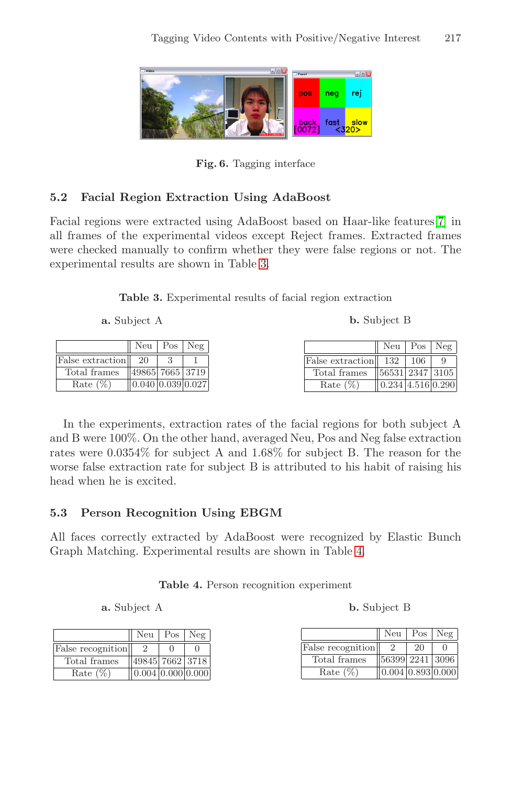Tagging Video Contents with Positive/Negative Interest 217



**Fig. 6.** Tagging interface

# **5.2 Facial Region Extraction Using AdaBoost**

Facial regions were extracted using AdaBoost based on Haar-like features[7] in all frames of the experimental videos except Reject frames. Extracted frames were checked manually to confirm whether they were false regions or not. The experimental results are shown in Table 3.

**Table 3.** Experimental results of facial region extraction

| a. Subject A |  |  |  |
|--------------|--|--|--|
|--------------|--|--|--|

**b.** Subject B

|                  |                       | $Neu$   $Pos$   $Neg$ |                             |                                 | $Neu$   $Pos$   $Neg$ |  |
|------------------|-----------------------|-----------------------|-----------------------------|---------------------------------|-----------------------|--|
| False extraction | 20                    |                       | <b>False extraction</b> 132 |                                 | 106                   |  |
| Total frames     | 49865  7665   3719    |                       | Total frames                | $\parallel$ 56531   2347   3105 |                       |  |
| Rate $(\%)$      | 0.040   0.039   0.027 |                       | Rate $(\%)$                 | 0.234 4.516 0.290               |                       |  |

In the experiments, extraction rates of the facial regions for both subject A and B were 100%. On the other hand, av[era](#page-7-0)ged Neu, Pos and Neg false extraction rates were 0.0354% for subject A and 1.68% for subject B. The reason for the worse false extraction rate for subject B is attributed to his habit of raising his head when he is excited.

# <span id="page-7-0"></span>**5.3 Person Recognition Using EBGM**

All faces correctly extracted by AdaBoost were recognized by Elastic Bunch Graph Matching. Experimental results are shown in Table 4.

|  | Table 4. Person recognition experiment |  |
|--|----------------------------------------|--|
|  |                                        |  |

**a.** Subject A

|                   |                                             | $Neu$ $Pos$ $Neg$ |  |
|-------------------|---------------------------------------------|-------------------|--|
| False recognition |                                             |                   |  |
| Total frames      | $\sqrt{49845/7662}$ 3718                    |                   |  |
| Rate $(\%)$       | $\vert 0.004 \vert 0.000 \vert 0.000 \vert$ |                   |  |

|                   | $\text{Neu}$   $\text{Pos}$   $\text{Neg}$ |    |  |
|-------------------|--------------------------------------------|----|--|
| False recognition |                                            | 20 |  |
| Total frames      | $\sqrt{56399}$ 2241 3096                   |    |  |
| Rate $(\%)$       | $\vert 0.004 \vert 0.893 \vert 0.000$      |    |  |

**b.** Subject B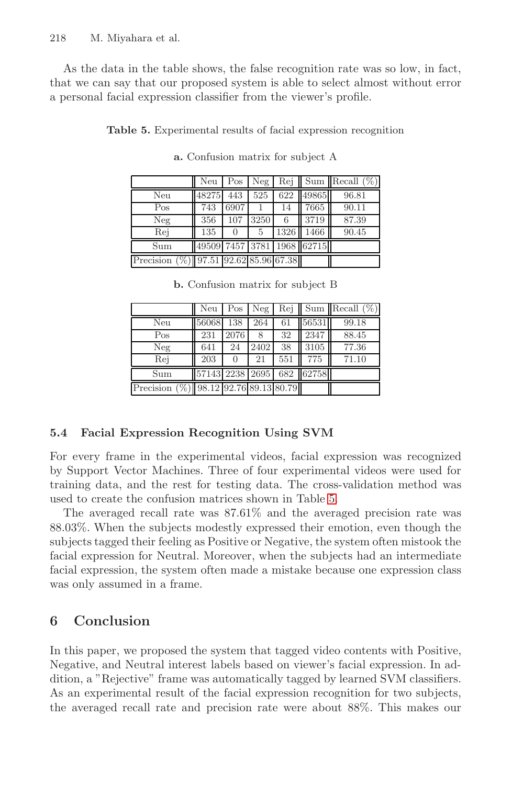<span id="page-8-0"></span>As the data in the table shows, the false recognition rate was so low, in fact, that we can say that our proposed system is able to select almost without error a personal facial expression classifier from the viewer's profile.

**Table 5.** Experimental results of facial expression recognition

|                                          | Neu   | Pos              | Neg  |      |                            | $\text{Rej}$ Sum Recall $(\%)$ |
|------------------------------------------|-------|------------------|------|------|----------------------------|--------------------------------|
| Neu                                      | 48275 | 443              | 525  |      | 622 49865                  | 96.81                          |
| Pos                                      | 743   | 6907             |      | 14   | 7665                       | 90.11                          |
| Neg                                      | 356   | $\overline{1}07$ | 3250 | 6    | 3719                       | 87.39                          |
| Rej                                      | 135   | 0                | 5    | 1326 | 1466                       | 90.45                          |
| Sum                                      |       |                  |      |      | 49509 7457 3781 1968 62715 |                                |
| Precision $(\%)$ 97.51 92.62 85.96 67.38 |       |                  |      |      |                            |                                |

**a.** Confusion matrix for subject A

|  | <b>b.</b> Confusion matrix for subject B |  |  |  |  |
|--|------------------------------------------|--|--|--|--|
|--|------------------------------------------|--|--|--|--|

|                                          | Neu   | Pos  | Neg  |     |                           | $\text{Re}$   Sum   Recall $(\%)$ |
|------------------------------------------|-------|------|------|-----|---------------------------|-----------------------------------|
| Neu                                      | 56068 | 138  | 264  | 61  | 56531                     | 99.18                             |
| Pos                                      | 231   | 2076 | 8    | 32  | 2347                      | 88.45                             |
| Neg                                      | 641   | 24   | 2402 | 38  | 3105                      | 77.36                             |
| Rej                                      | 203   |      | 21   | 551 | 775                       | 71.10                             |
| Sum                                      |       |      |      |     | 57143 2238 2695 682 62758 |                                   |
| Precision $(\%)$ 98.12 92.76 89.13 80.79 |       |      |      |     |                           |                                   |

### **5.4 Facial Expression Recognition Using SVM**

For every frame in the experimental videos, facial expression was recognized by Support Vector Machines. Three of four experimental videos were used for training data, and the rest for testing data. The cross-validation method was used to create the confusion matrices shown in Table 5.

The averaged recall rate was 87.61% and the averaged precision rate was 88.03%. When the subjects modestly expressed their emotion, even though the subjects tagged their feeling as Positive or Negative, the system often mistook the facial expression for Neutral. Moreover, when the subjects had an intermediate facial expression, the system often made a mistake because one expression class was only assumed in a frame.

# **6 Conclusion**

In this paper, we proposed the system that tagged video contents with Positive, Negative, and Neutral interest labels based on viewer's facial expression. In addition, a "Rejective" frame was automatically tagged by learned SVM classifiers. As an experimental result of the facial expression recognition for two subjects, the averaged recall rate and precision rate were about 88%. This makes our